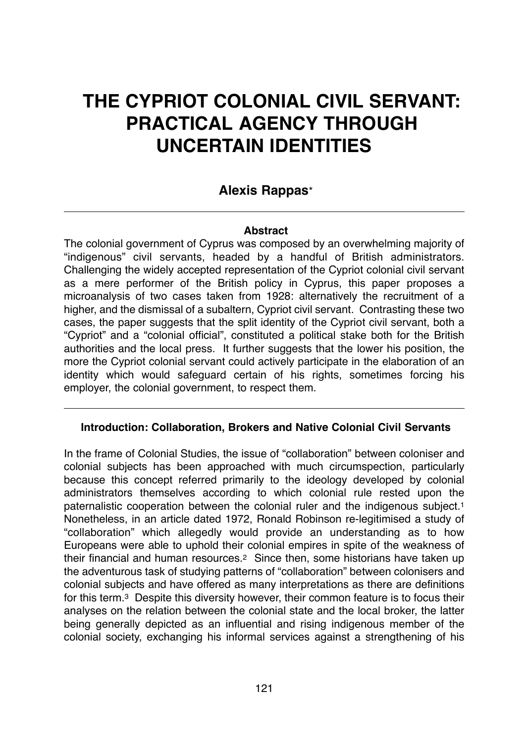# **THE CYPRIOT COLONIAL CIVIL SERVANT: PRACTICAL AGENCY THROUGH UNCERTAIN IDENTITIES**

# **Alexis Rappas**\*

# **Abstract**

The colonial government of Cyprus was composed by an overwhelming majority of "indigenous" civil servants, headed by a handful of British administrators. Challenging the widely accepted representation of the Cypriot colonial civil servant as a mere performer of the British policy in Cyprus, this paper proposes a microanalysis of two cases taken from 1928: alternatively the recruitment of a higher, and the dismissal of a subaltern, Cypriot civil servant. Contrasting these two cases, the paper suggests that the split identity of the Cypriot civil servant, both a "Cypriot" and a "colonial official", constituted a political stake both for the British authorities and the local press. It further suggests that the lower his position, the more the Cypriot colonial servant could actively participate in the elaboration of an identity which would safeguard certain of his rights, sometimes forcing his employer, the colonial government, to respect them.

# **Introduction: Collaboration, Brokers and Native Colonial Civil Servants**

In the frame of Colonial Studies, the issue of "collaboration" between coloniser and colonial subjects has been approached with much circumspection, particularly because this concept referred primarily to the ideology developed by colonial administrators themselves according to which colonial rule rested upon the paternalistic cooperation between the colonial ruler and the indigenous subject.1 Nonetheless, in an article dated 1972, Ronald Robinson re-legitimised a study of "collaboration" which allegedly would provide an understanding as to how Europeans were able to uphold their colonial empires in spite of the weakness of their financial and human resources.2 Since then, some historians have taken up the adventurous task of studying patterns of "collaboration" between colonisers and colonial subjects and have offered as many interpretations as there are definitions for this term.3 Despite this diversity however, their common feature is to focus their analyses on the relation between the colonial state and the local broker, the latter being generally depicted as an influential and rising indigenous member of the colonial society, exchanging his informal services against a strengthening of his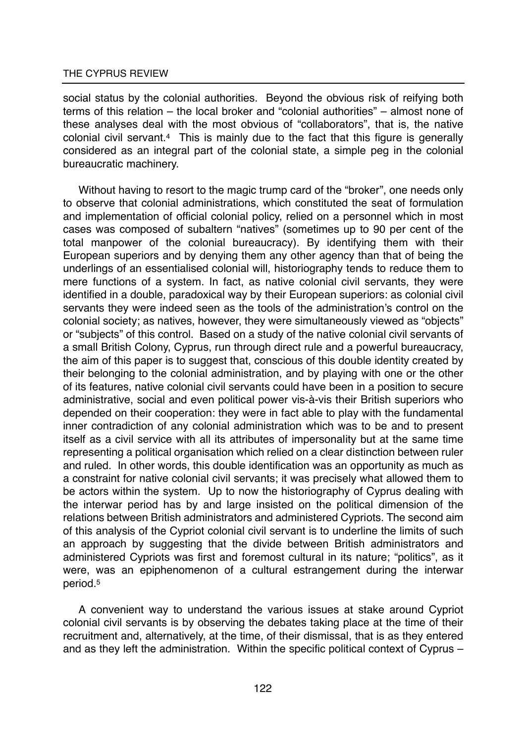social status by the colonial authorities. Beyond the obvious risk of reifying both terms of this relation – the local broker and "colonial authorities" – almost none of these analyses deal with the most obvious of "collaborators", that is, the native colonial civil servant.4 This is mainly due to the fact that this figure is generally considered as an integral part of the colonial state, a simple peg in the colonial bureaucratic machinery.

Without having to resort to the magic trump card of the "broker", one needs only to observe that colonial administrations, which constituted the seat of formulation and implementation of official colonial policy, relied on a personnel which in most cases was composed of subaltern "natives" (sometimes up to 90 per cent of the total manpower of the colonial bureaucracy). By identifying them with their European superiors and by denying them any other agency than that of being the underlings of an essentialised colonial will, historiography tends to reduce them to mere functions of a system. In fact, as native colonial civil servants, they were identified in a double, paradoxical way by their European superiors: as colonial civil servants they were indeed seen as the tools of the administration's control on the colonial society; as natives, however, they were simultaneously viewed as "objects" or "subjects" of this control. Based on a study of the native colonial civil servants of a small British Colony, Cyprus, run through direct rule and a powerful bureaucracy, the aim of this paper is to suggest that, conscious of this double identity created by their belonging to the colonial administration, and by playing with one or the other of its features, native colonial civil servants could have been in a position to secure administrative, social and even political power vis-à-vis their British superiors who depended on their cooperation: they were in fact able to play with the fundamental inner contradiction of any colonial administration which was to be and to present itself as a civil service with all its attributes of impersonality but at the same time representing a political organisation which relied on a clear distinction between ruler and ruled. In other words, this double identification was an opportunity as much as a constraint for native colonial civil servants; it was precisely what allowed them to be actors within the system. Up to now the historiography of Cyprus dealing with the interwar period has by and large insisted on the political dimension of the relations between British administrators and administered Cypriots. The second aim of this analysis of the Cypriot colonial civil servant is to underline the limits of such an approach by suggesting that the divide between British administrators and administered Cypriots was first and foremost cultural in its nature; "politics", as it were, was an epiphenomenon of a cultural estrangement during the interwar period.5

A convenient way to understand the various issues at stake around Cypriot colonial civil servants is by observing the debates taking place at the time of their recruitment and, alternatively, at the time, of their dismissal, that is as they entered and as they left the administration. Within the specific political context of Cyprus –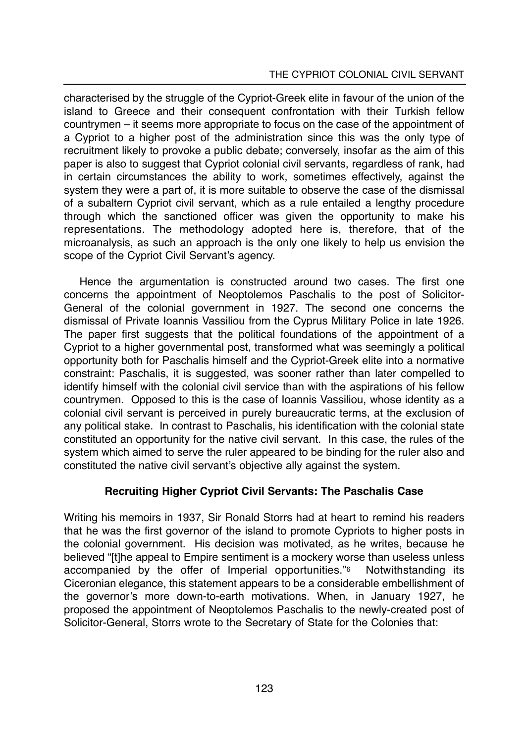#### THE CYPRIOT COLONIAL CIVIL SERVANT

characterised by the struggle of the Cypriot-Greek elite in favour of the union of the island to Greece and their consequent confrontation with their Turkish fellow countrymen – it seems more appropriate to focus on the case of the appointment of a Cypriot to a higher post of the administration since this was the only type of recruitment likely to provoke a public debate; conversely, insofar as the aim of this paper is also to suggest that Cypriot colonial civil servants, regardless of rank, had in certain circumstances the ability to work, sometimes effectively, against the system they were a part of, it is more suitable to observe the case of the dismissal of a subaltern Cypriot civil servant, which as a rule entailed a lengthy procedure through which the sanctioned officer was given the opportunity to make his representations. The methodology adopted here is, therefore, that of the microanalysis, as such an approach is the only one likely to help us envision the scope of the Cypriot Civil Servant's agency.

Hence the argumentation is constructed around two cases. The first one concerns the appointment of Neoptolemos Paschalis to the post of Solicitor-General of the colonial government in 1927. The second one concerns the dismissal of Private Ioannis Vassiliou from the Cyprus Military Police in late 1926. The paper first suggests that the political foundations of the appointment of a Cypriot to a higher governmental post, transformed what was seemingly a political opportunity both for Paschalis himself and the Cypriot-Greek elite into a normative constraint: Paschalis, it is suggested, was sooner rather than later compelled to identify himself with the colonial civil service than with the aspirations of his fellow countrymen. Opposed to this is the case of Ioannis Vassiliou, whose identity as a colonial civil servant is perceived in purely bureaucratic terms, at the exclusion of any political stake. In contrast to Paschalis, his identification with the colonial state constituted an opportunity for the native civil servant. In this case, the rules of the system which aimed to serve the ruler appeared to be binding for the ruler also and constituted the native civil servant's objective ally against the system.

# **Recruiting Higher Cypriot Civil Servants: The Paschalis Case**

Writing his memoirs in 1937, Sir Ronald Storrs had at heart to remind his readers that he was the first governor of the island to promote Cypriots to higher posts in the colonial government. His decision was motivated, as he writes, because he believed "[t]he appeal to Empire sentiment is a mockery worse than useless unless accompanied by the offer of Imperial opportunities."6 Notwithstanding its Ciceronian elegance, this statement appears to be a considerable embellishment of the governor's more down-to-earth motivations. When, in January 1927, he proposed the appointment of Neoptolemos Paschalis to the newly-created post of Solicitor-General, Storrs wrote to the Secretary of State for the Colonies that: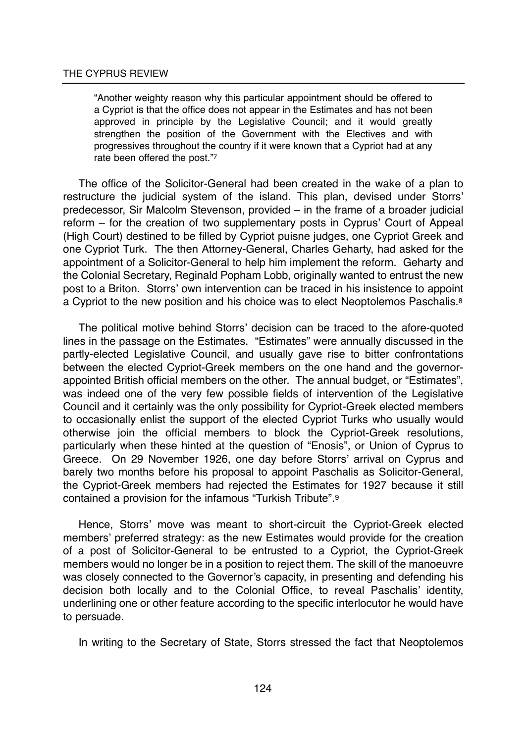"Another weighty reason why this particular appointment should be offered to a Cypriot is that the office does not appear in the Estimates and has not been approved in principle by the Legislative Council; and it would greatly strengthen the position of the Government with the Electives and with progressives throughout the country if it were known that a Cypriot had at any rate been offered the post."7

The office of the Solicitor-General had been created in the wake of a plan to restructure the judicial system of the island. This plan, devised under Storrs' predecessor, Sir Malcolm Stevenson, provided – in the frame of a broader judicial reform – for the creation of two supplementary posts in Cyprus' Court of Appeal (High Court) destined to be filled by Cypriot puisne judges, one Cypriot Greek and one Cypriot Turk. The then Attorney-General, Charles Geharty, had asked for the appointment of a Solicitor-General to help him implement the reform. Geharty and the Colonial Secretary, Reginald Popham Lobb, originally wanted to entrust the new post to a Briton. Storrs' own intervention can be traced in his insistence to appoint a Cypriot to the new position and his choice was to elect Neoptolemos Paschalis.<sup>8</sup>

The political motive behind Storrs' decision can be traced to the afore-quoted lines in the passage on the Estimates. "Estimates" were annually discussed in the partly-elected Legislative Council, and usually gave rise to bitter confrontations between the elected Cypriot-Greek members on the one hand and the governorappointed British official members on the other. The annual budget, or "Estimates", was indeed one of the very few possible fields of intervention of the Legislative Council and it certainly was the only possibility for Cypriot-Greek elected members to occasionally enlist the support of the elected Cypriot Turks who usually would otherwise join the official members to block the Cypriot-Greek resolutions, particularly when these hinted at the question of "Enosis", or Union of Cyprus to Greece. On 29 November 1926, one day before Storrs' arrival on Cyprus and barely two months before his proposal to appoint Paschalis as Solicitor-General, the Cypriot-Greek members had rejected the Estimates for 1927 because it still contained a provision for the infamous "Turkish Tribute".9

Hence, Storrs' move was meant to short-circuit the Cypriot-Greek elected members' preferred strategy: as the new Estimates would provide for the creation of a post of Solicitor-General to be entrusted to a Cypriot, the Cypriot-Greek members would no longer be in a position to reject them. The skill of the manoeuvre was closely connected to the Governor's capacity, in presenting and defending his decision both locally and to the Colonial Office, to reveal Paschalis' identity, underlining one or other feature according to the specific interlocutor he would have to persuade.

In writing to the Secretary of State, Storrs stressed the fact that Neoptolemos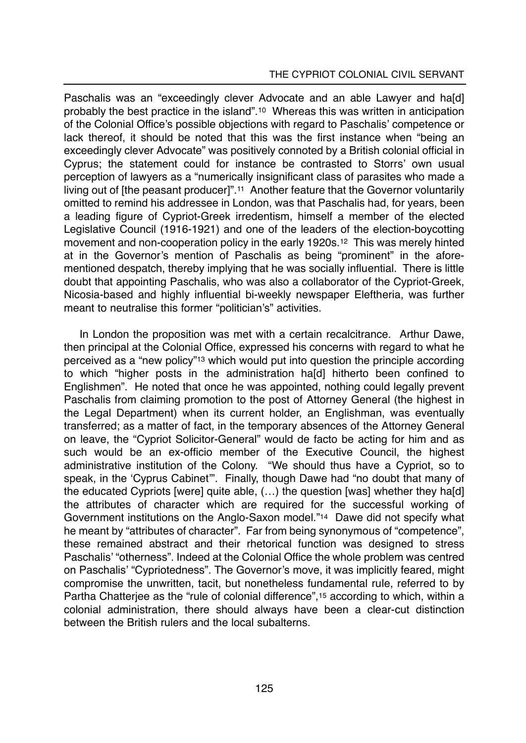#### THE CYPRIOT COLONIAL CIVIL SERVANT

Paschalis was an "exceedingly clever Advocate and an able Lawyer and ha[d] probably the best practice in the island".10 Whereas this was written in anticipation of the Colonial Office's possible objections with regard to Paschalis' competence or lack thereof, it should be noted that this was the first instance when "being an exceedingly clever Advocate" was positively connoted by a British colonial official in Cyprus; the statement could for instance be contrasted to Storrs' own usual perception of lawyers as a "numerically insignificant class of parasites who made a living out of [the peasant producer]".11 Another feature that the Governor voluntarily omitted to remind his addressee in London, was that Paschalis had, for years, been a leading figure of Cypriot-Greek irredentism, himself a member of the elected Legislative Council (1916-1921) and one of the leaders of the election-boycotting movement and non-cooperation policy in the early 1920s.12 This was merely hinted at in the Governor's mention of Paschalis as being "prominent" in the aforementioned despatch, thereby implying that he was socially influential. There is little doubt that appointing Paschalis, who was also a collaborator of the Cypriot-Greek, Nicosia-based and highly influential bi-weekly newspaper Eleftheria, was further meant to neutralise this former "politician's" activities.

In London the proposition was met with a certain recalcitrance. Arthur Dawe, then principal at the Colonial Office, expressed his concerns with regard to what he perceived as a "new policy"13 which would put into question the principle according to which "higher posts in the administration ha[d] hitherto been confined to Englishmen". He noted that once he was appointed, nothing could legally prevent Paschalis from claiming promotion to the post of Attorney General (the highest in the Legal Department) when its current holder, an Englishman, was eventually transferred; as a matter of fact, in the temporary absences of the Attorney General on leave, the "Cypriot Solicitor-General" would de facto be acting for him and as such would be an ex-officio member of the Executive Council, the highest administrative institution of the Colony. "We should thus have a Cypriot, so to speak, in the 'Cyprus Cabinet'". Finally, though Dawe had "no doubt that many of the educated Cypriots [were] quite able, (…) the question [was] whether they ha[d] the attributes of character which are required for the successful working of Government institutions on the Anglo-Saxon model."14 Dawe did not specify what he meant by "attributes of character". Far from being synonymous of "competence", these remained abstract and their rhetorical function was designed to stress Paschalis' "otherness". Indeed at the Colonial Office the whole problem was centred on Paschalis' "Cypriotedness". The Governor's move, it was implicitly feared, might compromise the unwritten, tacit, but nonetheless fundamental rule, referred to by Partha Chatterjee as the "rule of colonial difference",<sup>15</sup> according to which, within a colonial administration, there should always have been a clear-cut distinction between the British rulers and the local subalterns.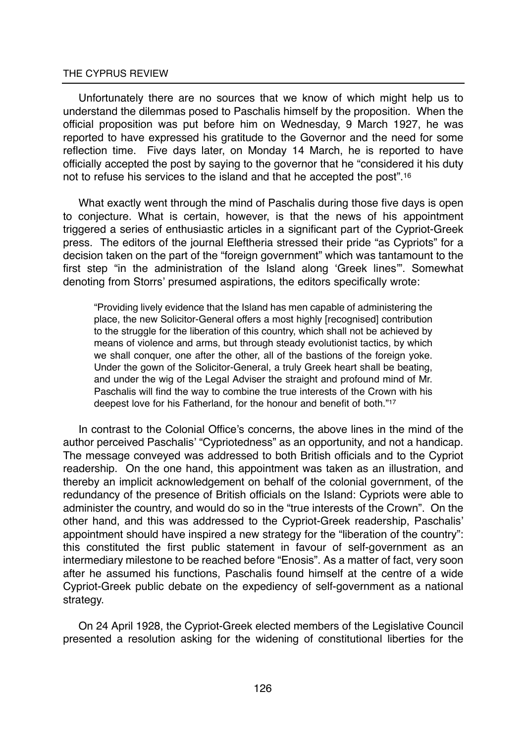Unfortunately there are no sources that we know of which might help us to understand the dilemmas posed to Paschalis himself by the proposition. When the official proposition was put before him on Wednesday, 9 March 1927, he was reported to have expressed his gratitude to the Governor and the need for some reflection time. Five days later, on Monday 14 March, he is reported to have officially accepted the post by saying to the governor that he "considered it his duty not to refuse his services to the island and that he accepted the post".16

What exactly went through the mind of Paschalis during those five days is open to conjecture. What is certain, however, is that the news of his appointment triggered a series of enthusiastic articles in a significant part of the Cypriot-Greek press. The editors of the journal Eleftheria stressed their pride "as Cypriots" for a decision taken on the part of the "foreign government" which was tantamount to the first step "in the administration of the Island along 'Greek lines'". Somewhat denoting from Storrs' presumed aspirations, the editors specifically wrote:

"Providing lively evidence that the Island has men capable of administering the place, the new Solicitor-General offers a most highly [recognised] contribution to the struggle for the liberation of this country, which shall not be achieved by means of violence and arms, but through steady evolutionist tactics, by which we shall conquer, one after the other, all of the bastions of the foreign yoke. Under the gown of the Solicitor-General, a truly Greek heart shall be beating, and under the wig of the Legal Adviser the straight and profound mind of Mr. Paschalis will find the way to combine the true interests of the Crown with his deepest love for his Fatherland, for the honour and benefit of both."17

In contrast to the Colonial Office's concerns, the above lines in the mind of the author perceived Paschalis' "Cypriotedness" as an opportunity, and not a handicap. The message conveyed was addressed to both British officials and to the Cypriot readership. On the one hand, this appointment was taken as an illustration, and thereby an implicit acknowledgement on behalf of the colonial government, of the redundancy of the presence of British officials on the Island: Cypriots were able to administer the country, and would do so in the "true interests of the Crown". On the other hand, and this was addressed to the Cypriot-Greek readership, Paschalis' appointment should have inspired a new strategy for the "liberation of the country": this constituted the first public statement in favour of self-government as an intermediary milestone to be reached before "Enosis". As a matter of fact, very soon after he assumed his functions, Paschalis found himself at the centre of a wide Cypriot-Greek public debate on the expediency of self-government as a national strategy.

On 24 April 1928, the Cypriot-Greek elected members of the Legislative Council presented a resolution asking for the widening of constitutional liberties for the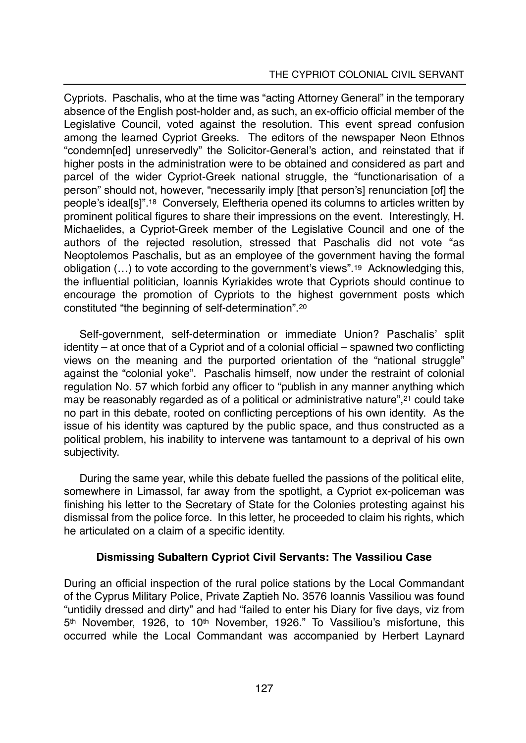Cypriots. Paschalis, who at the time was "acting Attorney General" in the temporary absence of the English post-holder and, as such, an ex-officio official member of the Legislative Council, voted against the resolution. This event spread confusion among the learned Cypriot Greeks. The editors of the newspaper Neon Ethnos "condemn[ed] unreservedly" the Solicitor-General's action, and reinstated that if higher posts in the administration were to be obtained and considered as part and parcel of the wider Cypriot-Greek national struggle, the "functionarisation of a person" should not, however, "necessarily imply [that person's] renunciation [of] the people's ideal[s]".18 Conversely, Eleftheria opened its columns to articles written by prominent political figures to share their impressions on the event. Interestingly, H. Michaelides, a Cypriot-Greek member of the Legislative Council and one of the authors of the rejected resolution, stressed that Paschalis did not vote "as Neoptolemos Paschalis, but as an employee of the government having the formal obligation (…) to vote according to the government's views".19 Acknowledging this, the influential politician, Ioannis Kyriakides wrote that Cypriots should continue to encourage the promotion of Cypriots to the highest government posts which constituted "the beginning of self-determination".20

Self-government, self-determination or immediate Union? Paschalis' split identity – at once that of a Cypriot and of a colonial official – spawned two conflicting views on the meaning and the purported orientation of the "national struggle" against the "colonial yoke". Paschalis himself, now under the restraint of colonial regulation No. 57 which forbid any officer to "publish in any manner anything which may be reasonably regarded as of a political or administrative nature",21 could take no part in this debate, rooted on conflicting perceptions of his own identity. As the issue of his identity was captured by the public space, and thus constructed as a political problem, his inability to intervene was tantamount to a deprival of his own subjectivity.

During the same year, while this debate fuelled the passions of the political elite, somewhere in Limassol, far away from the spotlight, a Cypriot ex-policeman was finishing his letter to the Secretary of State for the Colonies protesting against his dismissal from the police force. In this letter, he proceeded to claim his rights, which he articulated on a claim of a specific identity.

# **Dismissing Subaltern Cypriot Civil Servants: The Vassiliou Case**

During an official inspection of the rural police stations by the Local Commandant of the Cyprus Military Police, Private Zaptieh No. 3576 Ioannis Vassiliou was found "untidily dressed and dirty" and had "failed to enter his Diary for five days, viz from 5th November, 1926, to 10th November, 1926." To Vassiliou's misfortune, this occurred while the Local Commandant was accompanied by Herbert Laynard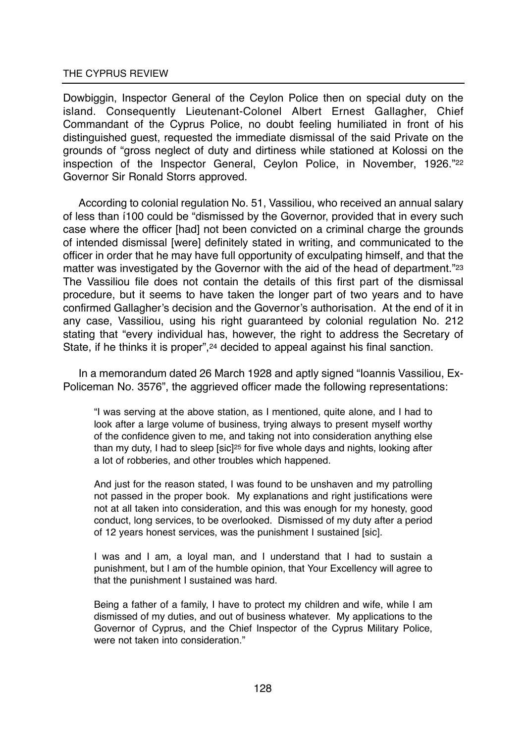Dowbiggin, Inspector General of the Ceylon Police then on special duty on the island. Consequently Lieutenant-Colonel Albert Ernest Gallagher, Chief Commandant of the Cyprus Police, no doubt feeling humiliated in front of his distinguished guest, requested the immediate dismissal of the said Private on the grounds of "gross neglect of duty and dirtiness while stationed at Kolossi on the inspection of the Inspector General, Ceylon Police, in November, 1926."22 Governor Sir Ronald Storrs approved.

According to colonial regulation No. 51, Vassiliou, who received an annual salary of less than í100 could be "dismissed by the Governor, provided that in every such case where the officer [had] not been convicted on a criminal charge the grounds of intended dismissal [were] definitely stated in writing, and communicated to the officer in order that he may have full opportunity of exculpating himself, and that the matter was investigated by the Governor with the aid of the head of department."23 The Vassiliou file does not contain the details of this first part of the dismissal procedure, but it seems to have taken the longer part of two years and to have confirmed Gallagher's decision and the Governor's authorisation. At the end of it in any case, Vassiliou, using his right guaranteed by colonial regulation No. 212 stating that "every individual has, however, the right to address the Secretary of State, if he thinks it is proper",<sup>24</sup> decided to appeal against his final sanction.

In a memorandum dated 26 March 1928 and aptly signed "Ioannis Vassiliou, Ex-Policeman No. 3576", the aggrieved officer made the following representations:

"I was serving at the above station, as I mentioned, quite alone, and I had to look after a large volume of business, trying always to present myself worthy of the confidence given to me, and taking not into consideration anything else than my duty, I had to sleep [sic]<sup>25</sup> for five whole days and nights, looking after a lot of robberies, and other troubles which happened.

And just for the reason stated, I was found to be unshaven and my patrolling not passed in the proper book. My explanations and right justifications were not at all taken into consideration, and this was enough for my honesty, good conduct, long services, to be overlooked. Dismissed of my duty after a period of 12 years honest services, was the punishment I sustained [sic].

I was and I am, a loyal man, and I understand that I had to sustain a punishment, but I am of the humble opinion, that Your Excellency will agree to that the punishment I sustained was hard.

Being a father of a family, I have to protect my children and wife, while I am dismissed of my duties, and out of business whatever. My applications to the Governor of Cyprus, and the Chief Inspector of the Cyprus Military Police, were not taken into consideration."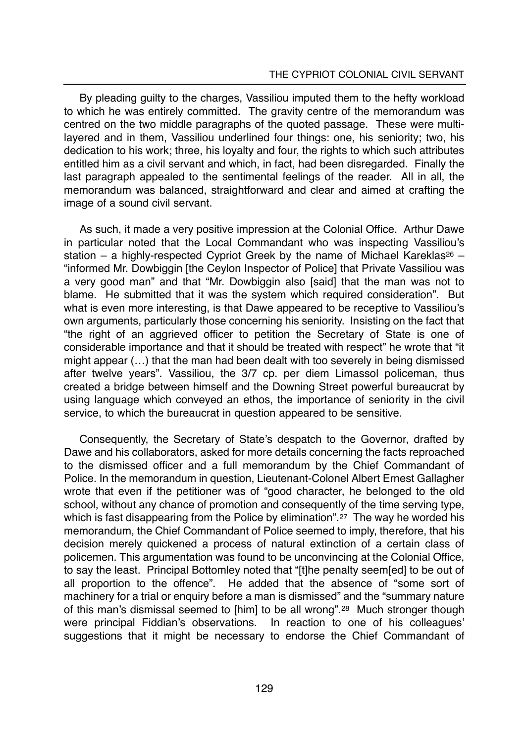By pleading guilty to the charges, Vassiliou imputed them to the hefty workload to which he was entirely committed. The gravity centre of the memorandum was centred on the two middle paragraphs of the quoted passage. These were multilayered and in them, Vassiliou underlined four things: one, his seniority; two, his dedication to his work; three, his loyalty and four, the rights to which such attributes entitled him as a civil servant and which, in fact, had been disregarded. Finally the last paragraph appealed to the sentimental feelings of the reader. All in all, the memorandum was balanced, straightforward and clear and aimed at crafting the image of a sound civil servant.

As such, it made a very positive impression at the Colonial Office. Arthur Dawe in particular noted that the Local Commandant who was inspecting Vassiliou's station – a highly-respected Cypriot Greek by the name of Michael Kareklas<sup>26</sup> – "informed Mr. Dowbiggin [the Ceylon Inspector of Police] that Private Vassiliou was a very good man" and that "Mr. Dowbiggin also [said] that the man was not to blame. He submitted that it was the system which required consideration". But what is even more interesting, is that Dawe appeared to be receptive to Vassiliou's own arguments, particularly those concerning his seniority. Insisting on the fact that "the right of an aggrieved officer to petition the Secretary of State is one of considerable importance and that it should be treated with respect" he wrote that "it might appear (…) that the man had been dealt with too severely in being dismissed after twelve years". Vassiliou, the 3/7 cp. per diem Limassol policeman, thus created a bridge between himself and the Downing Street powerful bureaucrat by using language which conveyed an ethos, the importance of seniority in the civil service, to which the bureaucrat in question appeared to be sensitive.

Consequently, the Secretary of State's despatch to the Governor, drafted by Dawe and his collaborators, asked for more details concerning the facts reproached to the dismissed officer and a full memorandum by the Chief Commandant of Police. In the memorandum in question, Lieutenant-Colonel Albert Ernest Gallagher wrote that even if the petitioner was of "good character, he belonged to the old school, without any chance of promotion and consequently of the time serving type, which is fast disappearing from the Police by elimination".27 The way he worded his memorandum, the Chief Commandant of Police seemed to imply, therefore, that his decision merely quickened a process of natural extinction of a certain class of policemen. This argumentation was found to be unconvincing at the Colonial Office, to say the least. Principal Bottomley noted that "[t]he penalty seem[ed] to be out of all proportion to the offence". He added that the absence of "some sort of machinery for a trial or enquiry before a man is dismissed" and the "summary nature of this man's dismissal seemed to [him] to be all wrong".28 Much stronger though were principal Fiddian's observations. In reaction to one of his colleagues' suggestions that it might be necessary to endorse the Chief Commandant of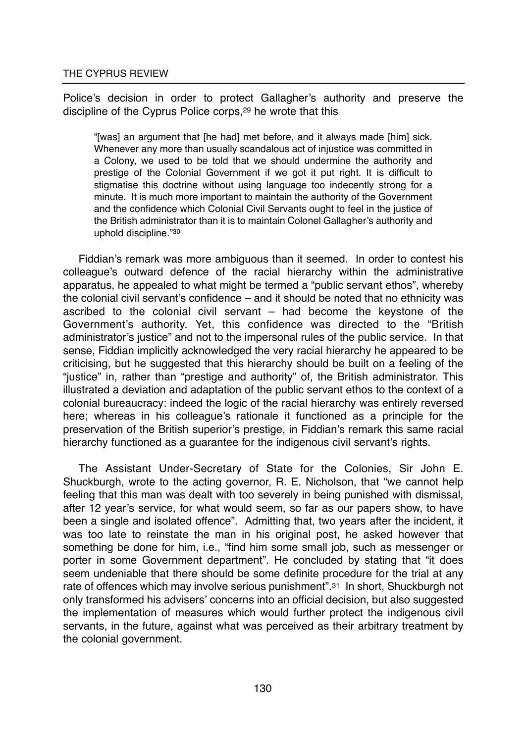Police's decision in order to protect Gallagher's authority and preserve the discipline of the Cyprus Police corps,29 he wrote that this

"[was] an argument that [he had] met before, and it always made [him] sick. Whenever any more than usually scandalous act of injustice was committed in a Colony, we used to be told that we should undermine the authority and prestige of the Colonial Government if we got it put right. It is difficult to stigmatise this doctrine without using language too indecently strong for a minute. It is much more important to maintain the authority of the Government and the confidence which Colonial Civil Servants ought to feel in the justice of the British administrator than it is to maintain Colonel Gallagher's authority and uphold discipline."30

Fiddian's remark was more ambiguous than it seemed. In order to contest his colleague's outward defence of the racial hierarchy within the administrative apparatus, he appealed to what might be termed a "public servant ethos", whereby the colonial civil servant's confidence – and it should be noted that no ethnicity was ascribed to the colonial civil servant – had become the keystone of the Government's authority. Yet, this confidence was directed to the "British administrator's justice" and not to the impersonal rules of the public service. In that sense, Fiddian implicitly acknowledged the very racial hierarchy he appeared to be criticising, but he suggested that this hierarchy should be built on a feeling of the "justice" in, rather than "prestige and authority" of, the British administrator. This illustrated a deviation and adaptation of the public servant ethos to the context of a colonial bureaucracy: indeed the logic of the racial hierarchy was entirely reversed here; whereas in his colleague's rationale it functioned as a principle for the preservation of the British superior's prestige, in Fiddian's remark this same racial hierarchy functioned as a guarantee for the indigenous civil servant's rights.

The Assistant Under-Secretary of State for the Colonies, Sir John E. Shuckburgh, wrote to the acting governor, R. E. Nicholson, that "we cannot help feeling that this man was dealt with too severely in being punished with dismissal, after 12 year's service, for what would seem, so far as our papers show, to have been a single and isolated offence". Admitting that, two years after the incident, it was too late to reinstate the man in his original post, he asked however that something be done for him, i.e., "find him some small job, such as messenger or porter in some Government department". He concluded by stating that "it does seem undeniable that there should be some definite procedure for the trial at any rate of offences which may involve serious punishment".31 In short, Shuckburgh not only transformed his advisers' concerns into an official decision, but also suggested the implementation of measures which would further protect the indigenous civil servants, in the future, against what was perceived as their arbitrary treatment by the colonial government.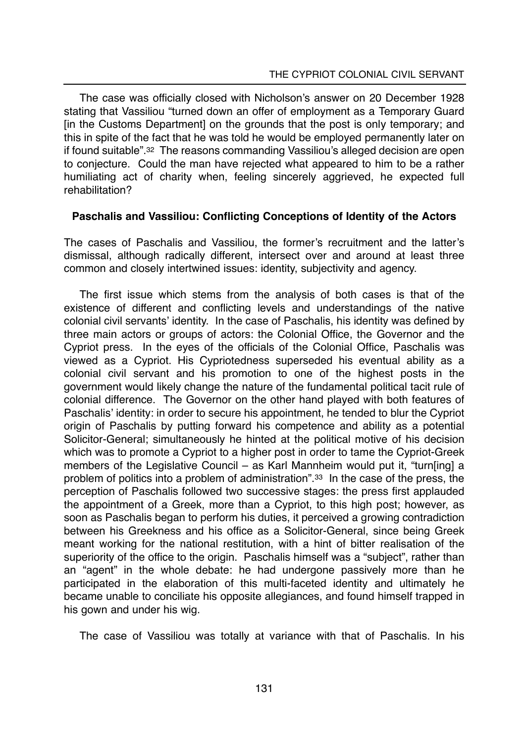The case was officially closed with Nicholson's answer on 20 December 1928 stating that Vassiliou "turned down an offer of employment as a Temporary Guard [in the Customs Department] on the grounds that the post is only temporary; and this in spite of the fact that he was told he would be employed permanently later on if found suitable".32 The reasons commanding Vassiliou's alleged decision are open to conjecture. Could the man have rejected what appeared to him to be a rather humiliating act of charity when, feeling sincerely aggrieved, he expected full rehabilitation?

# **Paschalis and Vassiliou: Conflicting Conceptions of Identity of the Actors**

The cases of Paschalis and Vassiliou, the former's recruitment and the latter's dismissal, although radically different, intersect over and around at least three common and closely intertwined issues: identity, subjectivity and agency.

The first issue which stems from the analysis of both cases is that of the existence of different and conflicting levels and understandings of the native colonial civil servants' identity. In the case of Paschalis, his identity was defined by three main actors or groups of actors: the Colonial Office, the Governor and the Cypriot press. In the eyes of the officials of the Colonial Office, Paschalis was viewed as a Cypriot. His Cypriotedness superseded his eventual ability as a colonial civil servant and his promotion to one of the highest posts in the government would likely change the nature of the fundamental political tacit rule of colonial difference. The Governor on the other hand played with both features of Paschalis' identity: in order to secure his appointment, he tended to blur the Cypriot origin of Paschalis by putting forward his competence and ability as a potential Solicitor-General; simultaneously he hinted at the political motive of his decision which was to promote a Cypriot to a higher post in order to tame the Cypriot-Greek members of the Legislative Council – as Karl Mannheim would put it, "turn[ing] a problem of politics into a problem of administration".33 In the case of the press, the perception of Paschalis followed two successive stages: the press first applauded the appointment of a Greek, more than a Cypriot, to this high post; however, as soon as Paschalis began to perform his duties, it perceived a growing contradiction between his Greekness and his office as a Solicitor-General, since being Greek meant working for the national restitution, with a hint of bitter realisation of the superiority of the office to the origin. Paschalis himself was a "subject", rather than an "agent" in the whole debate: he had undergone passively more than he participated in the elaboration of this multi-faceted identity and ultimately he became unable to conciliate his opposite allegiances, and found himself trapped in his gown and under his wig.

The case of Vassiliou was totally at variance with that of Paschalis. In his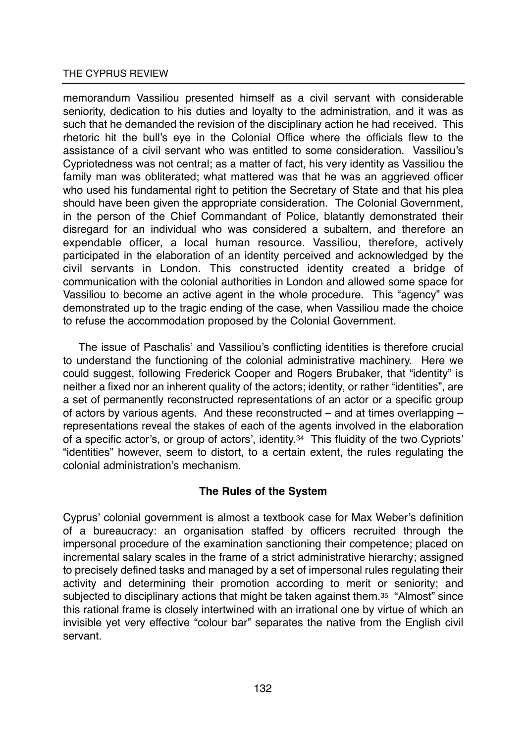memorandum Vassiliou presented himself as a civil servant with considerable seniority, dedication to his duties and loyalty to the administration, and it was as such that he demanded the revision of the disciplinary action he had received. This rhetoric hit the bull's eye in the Colonial Office where the officials flew to the assistance of a civil servant who was entitled to some consideration. Vassiliou's Cypriotedness was not central; as a matter of fact, his very identity as Vassiliou the family man was obliterated; what mattered was that he was an aggrieved officer who used his fundamental right to petition the Secretary of State and that his plea should have been given the appropriate consideration. The Colonial Government, in the person of the Chief Commandant of Police, blatantly demonstrated their disregard for an individual who was considered a subaltern, and therefore an expendable officer, a local human resource. Vassiliou, therefore, actively participated in the elaboration of an identity perceived and acknowledged by the civil servants in London. This constructed identity created a bridge of communication with the colonial authorities in London and allowed some space for Vassiliou to become an active agent in the whole procedure. This "agency" was demonstrated up to the tragic ending of the case, when Vassiliou made the choice to refuse the accommodation proposed by the Colonial Government.

The issue of Paschalis' and Vassiliou's conflicting identities is therefore crucial to understand the functioning of the colonial administrative machinery. Here we could suggest, following Frederick Cooper and Rogers Brubaker, that "identity" is neither a fixed nor an inherent quality of the actors; identity, or rather "identities", are a set of permanently reconstructed representations of an actor or a specific group of actors by various agents. And these reconstructed – and at times overlapping – representations reveal the stakes of each of the agents involved in the elaboration of a specific actor's, or group of actors', identity.34 This fluidity of the two Cypriots' "identities" however, seem to distort, to a certain extent, the rules regulating the colonial administration's mechanism.

# **The Rules of the System**

Cyprus' colonial government is almost a textbook case for Max Weber's definition of a bureaucracy: an organisation staffed by officers recruited through the impersonal procedure of the examination sanctioning their competence; placed on incremental salary scales in the frame of a strict administrative hierarchy; assigned to precisely defined tasks and managed by a set of impersonal rules regulating their activity and determining their promotion according to merit or seniority; and subjected to disciplinary actions that might be taken against them.35 "Almost" since this rational frame is closely intertwined with an irrational one by virtue of which an invisible yet very effective "colour bar" separates the native from the English civil servant.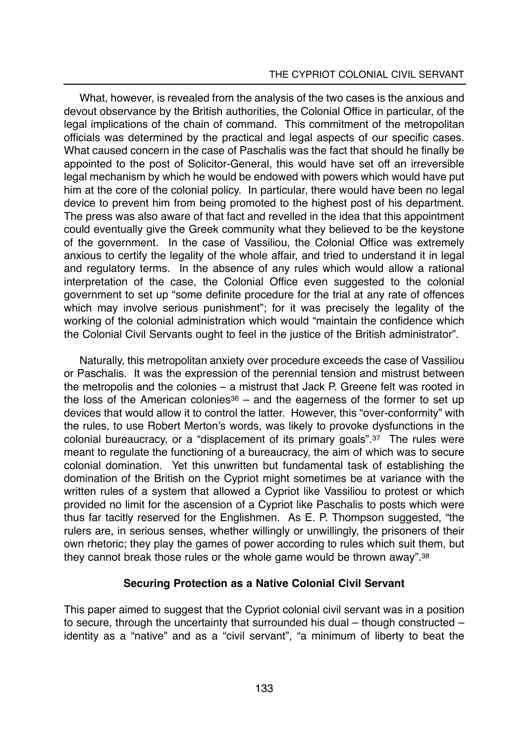What, however, is revealed from the analysis of the two cases is the anxious and devout observance by the British authorities, the Colonial Office in particular, of the legal implications of the chain of command. This commitment of the metropolitan officials was determined by the practical and legal aspects of our specific cases. What caused concern in the case of Paschalis was the fact that should he finally be appointed to the post of Solicitor-General, this would have set off an irreversible legal mechanism by which he would be endowed with powers which would have put him at the core of the colonial policy. In particular, there would have been no legal device to prevent him from being promoted to the highest post of his department. The press was also aware of that fact and revelled in the idea that this appointment could eventually give the Greek community what they believed to be the keystone of the government. In the case of Vassiliou, the Colonial Office was extremely anxious to certify the legality of the whole affair, and tried to understand it in legal and regulatory terms. In the absence of any rules which would allow a rational interpretation of the case, the Colonial Office even suggested to the colonial government to set up "some definite procedure for the trial at any rate of offences which may involve serious punishment"; for it was precisely the legality of the working of the colonial administration which would "maintain the confidence which the Colonial Civil Servants ought to feel in the justice of the British administrator".

Naturally, this metropolitan anxiety over procedure exceeds the case of Vassiliou or Paschalis. It was the expression of the perennial tension and mistrust between the metropolis and the colonies – a mistrust that Jack P. Greene felt was rooted in the loss of the American colonies<sup>36</sup> – and the eagerness of the former to set up devices that would allow it to control the latter. However, this "over-conformity" with the rules, to use Robert Merton's words, was likely to provoke dysfunctions in the colonial bureaucracy, or a "displacement of its primary goals".37 The rules were meant to regulate the functioning of a bureaucracy, the aim of which was to secure colonial domination. Yet this unwritten but fundamental task of establishing the domination of the British on the Cypriot might sometimes be at variance with the written rules of a system that allowed a Cypriot like Vassiliou to protest or which provided no limit for the ascension of a Cypriot like Paschalis to posts which were thus far tacitly reserved for the Englishmen. As E. P. Thompson suggested, "the rulers are, in serious senses, whether willingly or unwillingly, the prisoners of their own rhetoric; they play the games of power according to rules which suit them, but they cannot break those rules or the whole game would be thrown away".38

# **Securing Protection as a Native Colonial Civil Servant**

This paper aimed to suggest that the Cypriot colonial civil servant was in a position to secure, through the uncertainty that surrounded his dual – though constructed – identity as a "native" and as a "civil servant", "a minimum of liberty to beat the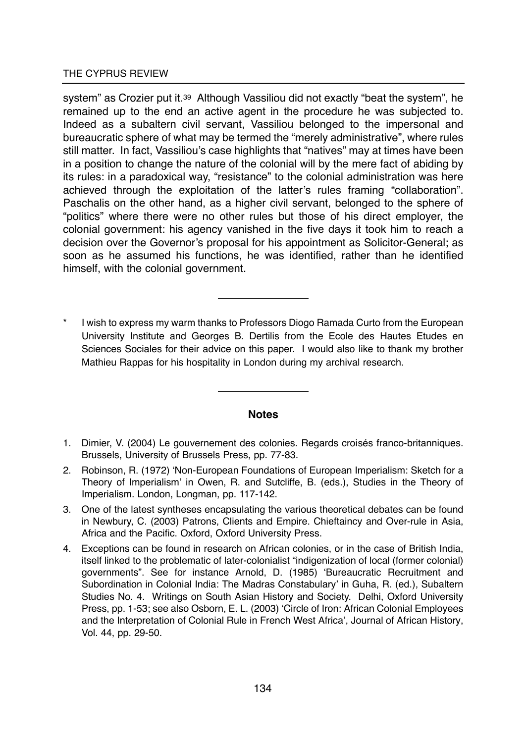system" as Crozier put it.<sup>39</sup> Although Vassiliou did not exactly "beat the system", he remained up to the end an active agent in the procedure he was subjected to. Indeed as a subaltern civil servant, Vassiliou belonged to the impersonal and bureaucratic sphere of what may be termed the "merely administrative", where rules still matter. In fact, Vassiliou's case highlights that "natives" may at times have been in a position to change the nature of the colonial will by the mere fact of abiding by its rules: in a paradoxical way, "resistance" to the colonial administration was here achieved through the exploitation of the latter's rules framing "collaboration". Paschalis on the other hand, as a higher civil servant, belonged to the sphere of "politics" where there were no other rules but those of his direct employer, the colonial government: his agency vanished in the five days it took him to reach a decision over the Governor's proposal for his appointment as Solicitor-General; as soon as he assumed his functions, he was identified, rather than he identified himself, with the colonial government.

I wish to express my warm thanks to Professors Diogo Ramada Curto from the European University Institute and Georges B. Dertilis from the Ecole des Hautes Etudes en Sciences Sociales for their advice on this paper. I would also like to thank my brother Mathieu Rappas for his hospitality in London during my archival research.

#### **Notes**

- 1. Dimier, V. (2004) Le gouvernement des colonies. Regards croisés franco-britanniques. Brussels, University of Brussels Press, pp. 77-83.
- 2. Robinson, R. (1972) 'Non-European Foundations of European Imperialism: Sketch for a Theory of Imperialism' in Owen, R. and Sutcliffe, B. (eds.), Studies in the Theory of Imperialism. London, Longman, pp. 117-142.
- 3. One of the latest syntheses encapsulating the various theoretical debates can be found in Newbury, C. (2003) Patrons, Clients and Empire. Chieftaincy and Over-rule in Asia, Africa and the Pacific. Oxford, Oxford University Press.
- 4. Exceptions can be found in research on African colonies, or in the case of British India, itself linked to the problematic of later-colonialist "indigenization of local (former colonial) governments". See for instance Arnold, D. (1985) 'Bureaucratic Recruitment and Subordination in Colonial India: The Madras Constabulary' in Guha, R. (ed.), Subaltern Studies No. 4. Writings on South Asian History and Society. Delhi, Oxford University Press, pp. 1-53; see also Osborn, E. L. (2003) 'Circle of Iron: African Colonial Employees and the Interpretation of Colonial Rule in French West Africa', Journal of African History, Vol. 44, pp. 29-50.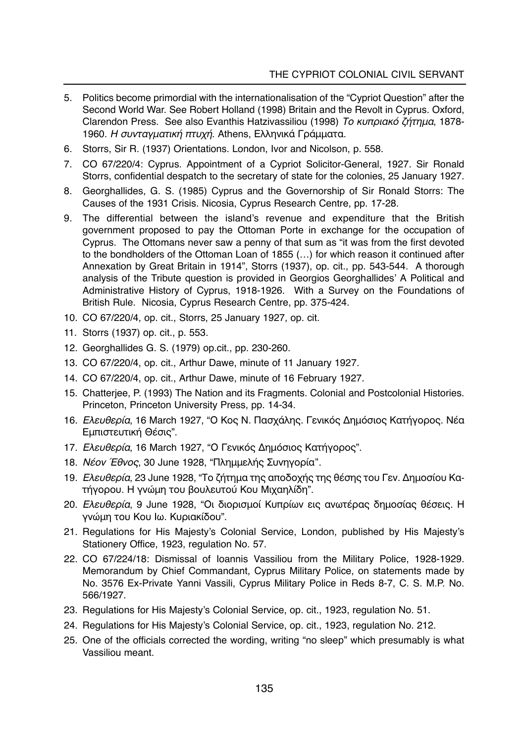- 5. Politics become primordial with the internationalisation of the "Cypriot Question" after the Second World War. See Robert Holland (1998) Britain and the Revolt in Cyprus. Oxford, Clarendon Press. See also Evanthis Hatzivassiliou (1998) *Το κυπριακό ζήτημα*, 1878-1960. *Η συνταγματική πτυχή*. Athens, Ελληνικά Γράμματα.
- 6. Storrs, Sir R. (1937) Orientations. London, Ivor and Nicolson, p. 558.
- 7. CO 67/220/4: Cyprus. Appointment of a Cypriot Solicitor-General, 1927. Sir Ronald Storrs, confidential despatch to the secretary of state for the colonies, 25 January 1927.
- 8. Georghallides, G. S. (1985) Cyprus and the Governorship of Sir Ronald Storrs: The Causes of the 1931 Crisis. Nicosia, Cyprus Research Centre, pp. 17-28.
- 9. The differential between the island's revenue and expenditure that the British government proposed to pay the Ottoman Porte in exchange for the occupation of Cyprus. The Ottomans never saw a penny of that sum as "it was from the first devoted to the bondholders of the Ottoman Loan of 1855 (…) for which reason it continued after Annexation by Great Britain in 1914", Storrs (1937), op. cit., pp. 543-544. A thorough analysis of the Tribute question is provided in Georgios Georghallides' A Political and Administrative History of Cyprus, 1918-1926. With a Survey on the Foundations of British Rule. Nicosia, Cyprus Research Centre, pp. 375-424.
- 10. CO 67/220/4, op. cit., Storrs, 25 January 1927, op. cit.
- 11. Storrs (1937) op. cit., p. 553.
- 12. Georghallides G. S. (1979) op.cit., pp. 230-260.
- 13. CO 67/220/4, op. cit., Arthur Dawe, minute of 11 January 1927.
- 14. CO 67/220/4, op. cit., Arthur Dawe, minute of 16 February 1927.
- 15. Chatterjee, P. (1993) The Nation and its Fragments. Colonial and Postcolonial Histories. Princeton, Princeton University Press, pp. 14-34.
- 16. *Ελευθερία*, 16 March 1927, "Ο Κος Ν. Πασχάλης. Γενικός Δημόσιος Κατήγορος. Νέα Εμπιστευτική Θέσις".
- 17. *Ελευθερία*, 16 March 1927, "Ο Γενικός Δημόσιος Κατήγορος".
- 18. *Νέον Έθνος*, 30 June 1928, "Πλημμελής Συνηγορία".
- 19. *Ελευθερία*, 23 June 1928, "Το ζήτημα της αποδοχής της θέσης του Γεν. Δημοσίου Κατήγορου. Η γνώμη του βουλευτού Κου Μιχαηλίδη".
- 20. *Ελευθερία*, 9 June 1928, "Οι διορισμοί Κυπρίων εις ανωτέρας δημοσίας θέσεις. Η γνώμη του Κου Ιω. Κυριακίδου".
- 21. Regulations for His Majesty's Colonial Service, London, published by His Majesty's Stationery Office, 1923, regulation No. 57.
- 22. CO 67/224/18: Dismissal of Ioannis Vassiliou from the Military Police, 1928-1929. Memorandum by Chief Commandant, Cyprus Military Police, on statements made by No. 3576 Ex-Private Yanni Vassili, Cyprus Military Police in Reds 8-7, C. S. M.P. No. 566/1927.
- 23. Regulations for His Majesty's Colonial Service, op. cit., 1923, regulation No. 51.
- 24. Regulations for His Majesty's Colonial Service, op. cit., 1923, regulation No. 212.
- 25. One of the officials corrected the wording, writing "no sleep" which presumably is what Vassiliou meant.